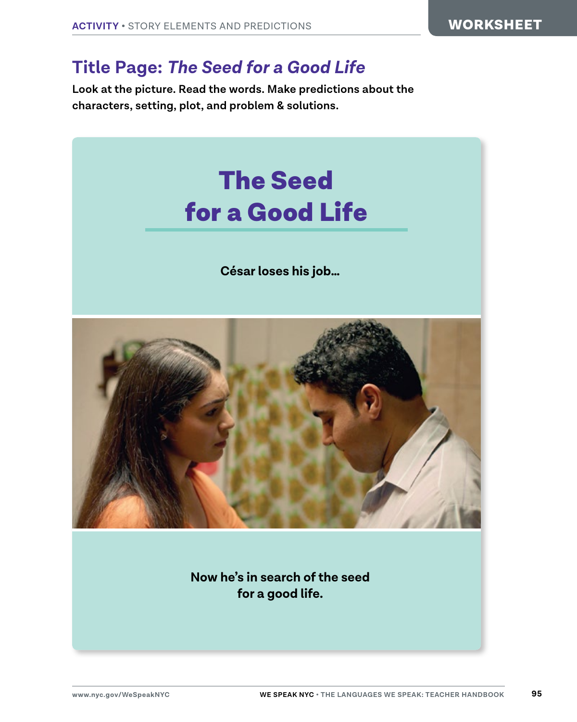## **Title Page:** *The Seed for a Good Life*

**Look at the picture. Read the words. Make predictions about the characters, setting, plot, and problem & solutions.**



**Now he's in search of the seed for a good life.**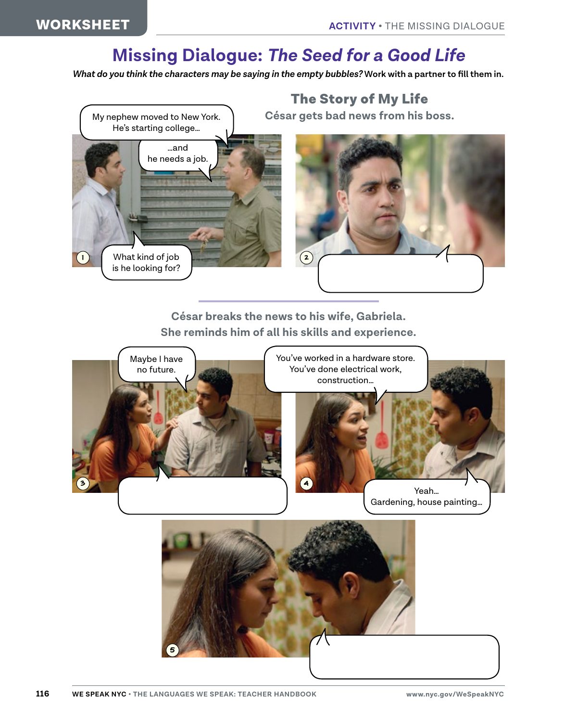## **Missing Dialogue:** *The Seed for a Good Life*

*What do you think the characters may be saying in the empty bubbles?* **Work with a partner to fill them in.**



**César breaks the news to his wife, Gabriela. She reminds him of all his skills and experience.**